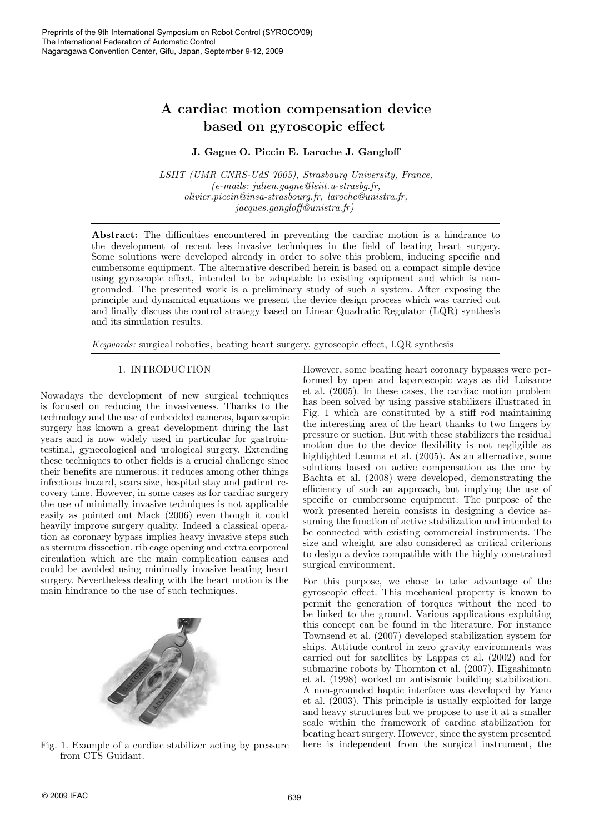# A cardiac motion compensation device based on gyroscopic effect

# J. Gagne O. Piccin E. Laroche J. Gangloff

*LSIIT (UMR CNRS-UdS 7005), Strasbourg University, France, (e-mails: julien.gagne@lsiit.u-strasbg.fr, olivier.piccin@insa-strasbourg.fr, laroche@unistra.fr, jacques.gangloff@unistra.fr)*

Abstract: The difficulties encountered in preventing the cardiac motion is a hindrance to the development of recent less invasive techniques in the field of beating heart surgery. Some solutions were developed already in order to solve this problem, inducing specific and cumbersome equipment. The alternative described herein is based on a compact simple device using gyroscopic effect, intended to be adaptable to existing equipment and which is nongrounded. The presented work is a preliminary study of such a system. After exposing the principle and dynamical equations we present the device design process which was carried out and finally discuss the control strategy based on Linear Quadratic Regulator (LQR) synthesis and its simulation results.

*Keywords:* surgical robotics, beating heart surgery, gyroscopic effect, LQR synthesis

# 1. INTRODUCTION

Nowadays the development of new surgical techniques is focused on reducing the invasiveness. Thanks to the technology and the use of embedded cameras, laparoscopic surgery has known a great development during the last years and is now widely used in particular for gastrointestinal, gynecological and urological surgery. Extending these techniques to other fields is a crucial challenge since their benefits are numerous: it reduces among other things infectious hazard, scars size, hospital stay and patient recovery time. However, in some cases as for cardiac surgery the use of minimally invasive techniques is not applicable easily as pointed out Mack (2006) even though it could heavily improve surgery quality. Indeed a classical operation as coronary bypass implies heavy invasive steps such as sternum dissection, rib cage opening and extra corporeal circulation which are the main complication causes and could be avoided using minimally invasive beating heart surgery. Nevertheless dealing with the heart motion is the main hindrance to the use of such techniques.



Fig. 1. Example of a cardiac stabilizer acting by pressure from CTS Guidant.

However, some beating heart coronary bypasses were performed by open and laparoscopic ways as did Loisance et al. (2005). In these cases, the cardiac motion problem has been solved by using passive stabilizers illustrated in Fig. 1 which are constituted by a stiff rod maintaining the interesting area of the heart thanks to two fingers by pressure or suction. But with these stabilizers the residual motion due to the device flexibility is not negligible as highlighted Lemma et al. (2005). As an alternative, some solutions based on active compensation as the one by Bachta et al. (2008) were developed, demonstrating the efficiency of such an approach, but implying the use of specific or cumbersome equipment. The purpose of the work presented herein consists in designing a device assuming the function of active stabilization and intended to be connected with existing commercial instruments. The size and wheight are also considered as critical criterions to design a device compatible with the highly constrained surgical environment.

For this purpose, we chose to take advantage of the gyroscopic effect. This mechanical property is known to permit the generation of torques without the need to be linked to the ground. Various applications exploiting this concept can be found in the literature. For instance Townsend et al. (2007) developed stabilization system for ships. Attitude control in zero gravity environments was carried out for satellites by Lappas et al. (2002) and for submarine robots by Thornton et al. (2007). Higashimata et al. (1998) worked on antisismic building stabilization. A non-grounded haptic interface was developed by Yano et al. (2003). This principle is usually exploited for large and heavy structures but we propose to use it at a smaller scale within the framework of cardiac stabilization for beating heart surgery. However, since the system presented here is independent from the surgical instrument, the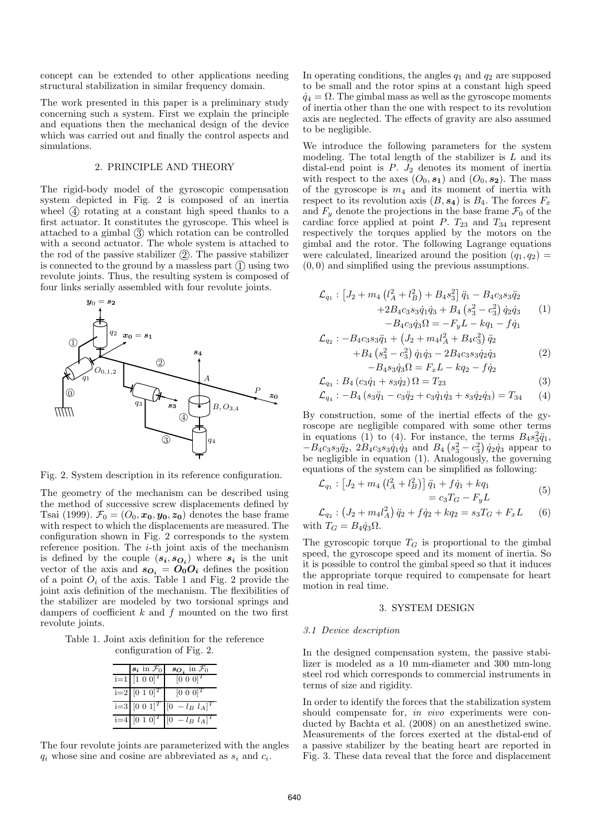concept can be extended to other applications needing structural stabilization in similar frequency domain.

The work presented in this paper is a preliminary study concerning such a system. First we explain the principle and equations then the mechanical design of the device which was carried out and finally the control aspects and simulations.

# 2. PRINCIPLE AND THEORY

The rigid-body model of the gyroscopic compensation system depicted in Fig. 2 is composed of an inertia wheel  $\overline{4}$  rotating at a constant high speed thanks to a first actuator. It constitutes the gyroscope. This wheel is attached to a gimbal  $\circled{3}$  which rotation can be controlled with a second actuator. The whole system is attached to the rod of the passive stabilizer  $(2)$ . The passive stabilizer is connected to the ground by a massless part  $(1)$  using two revolute joints. Thus, the resulting system is composed of four links serially assembled with four revolute joints.



Fig. 2. System description in its reference configuration.

The geometry of the mechanism can be described using the method of successive screw displacements defined by Tsai (1999).  $\mathcal{F}_0 = (O_0, x_0, y_0, z_0)$  denotes the base frame with respect to which the displacements are measured. The configuration shown in Fig. 2 corresponds to the system reference position. The  $i$ -th joint axis of the mechanism is defined by the couple  $(s_i, s_{\mathbf{O}_i})$  where  $s_i$  is the unit vector of the axis and  $s_{\textbf{O}_i} = \textbf{O}_0 \textbf{O}_i$  defines the position of a point  $O_i$  of the axis. Table 1 and Fig. 2 provide the joint axis definition of the mechanism. The flexibilities of the stabilizer are modeled by two torsional springs and dampers of coefficient  $k$  and  $f$  mounted on the two first revolute joints.

Table 1. Joint axis definition for the reference configuration of Fig. 2.

|  | $s_i$ in $\mathcal{F}_0$              | $s_{O_i}$ in $\mathcal{F}_0$                  |
|--|---------------------------------------|-----------------------------------------------|
|  | $i=1$ [1 0 0] <sup>T</sup>            | $[0\ 0\ 0]^T$                                 |
|  | $\overline{1=2}$ [0 1 0] <sup>T</sup> | $[0\ 0\ 0]^T$                                 |
|  | $i=3$ [0 0 1] <sup>T</sup> [0         | $-l_B$ $l_A$ ] <sup>T</sup>                   |
|  |                                       | $i=4$ [0 1 0] <sup>T</sup> [0 - $l_B$ $l_A$ ] |

The four revolute joints are parameterized with the angles  $q_i$  whose sine and cosine are abbreviated as  $s_i$  and  $c_i$ .

In operating conditions, the angles  $q_1$  and  $q_2$  are supposed to be small and the rotor spins at a constant high speed  $\dot{q}_4 = \Omega$ . The gimbal mass as well as the gyroscope moments of inertia other than the one with respect to its revolution axis are neglected. The effects of gravity are also assumed to be negligible.

We introduce the following parameters for the system modeling. The total length of the stabilizer is  $L$  and its distal-end point is  $P. J_2$  denotes its moment of inertia with respect to the axes  $(O_0, s_1)$  and  $(O_0, s_2)$ . The mass of the gyroscope is  $m_4$  and its moment of inertia with respect to its revolution axis  $(B, s_4)$  is  $B_4$ . The forces  $F_x$ and  $F_y$  denote the projections in the base frame  $\mathcal{F}_0$  of the cardiac force applied at point  $P$ .  $T_{23}$  and  $T_{34}$  represent respectively the torques applied by the motors on the gimbal and the rotor. The following Lagrange equations were calculated, linearized around the position  $(q_1, q_2)$  = (0, 0) and simplified using the previous assumptions.

$$
\mathcal{L}_{q_1}: [J_2 + m_4 \left(l_A^2 + l_B^2\right) + B_4 s_3^2] \ddot{q}_1 - B_4 c_3 s_3 \ddot{q}_2 + 2B_4 c_3 s_3 \dot{q}_1 \dot{q}_3 + B_4 \left(s_3^2 - c_3^2\right) \dot{q}_2 \dot{q}_3 \tag{1}
$$

$$
-B_4c_3\dot{q}_3\Omega = -F_yL - kq_1 - f\dot{q}_1
$$
  

$$
\mathcal{L}_{q_2} : -B_4c_3s_3\ddot{q}_1 + \left(J_2 + m_4l_A^2 + B_4c_3^2\right)\ddot{q}_2
$$

$$
+B_4 \left(s_3^2 - c_3^2\right) \dot{q}_1 \dot{q}_3 - 2B_4 c_3 s_3 \dot{q}_2 \dot{q}_3 -B_4 s_3 \dot{q}_3 \Omega = F_x L - k q_2 - f \dot{q}_2
$$
\n(2)

$$
\mathcal{L}_{q_3}: B_4 (c_3 \dot{q}_1 + s_3 \dot{q}_2) \Omega = T_{23} \tag{3}
$$

$$
\mathcal{L}_{q_4}: -B_4 \left( s_3 \ddot{q}_1 - c_3 \ddot{q}_2 + c_3 \dot{q}_1 \dot{q}_3 + s_3 \dot{q}_2 \dot{q}_3 \right) = T_{34} \qquad (4)
$$

By construction, some of the inertial effects of the gyroscope are negligible compared with some other terms in equations (1) to (4). For instance, the terms  $B_4s_3^2\ddot{q}_1$ ,  $-B_4c_3s_3\ddot{q}_2$ ,  $2B_4c_3s_3\dot{q}_1\dot{q}_3$  and  $B_4(s_3^2-c_3^2)\dot{q}_2\dot{q}_3$  appear to be negligible in equation (1). Analogously, the governing equations of the system can be simplified as following:

$$
\mathcal{L}_{q_1} : [J_2 + m_4 \left(l_A^2 + l_B^2\right)] \ddot{q}_1 + f \dot{q}_1 + k q_1 \n= c_3 T_G - F_y L
$$
\n(5)

$$
\mathcal{L}_{q_2} : (J_2 + m_4 l_A^2) \ddot{q}_2 + f \dot{q}_2 + k q_2 = s_3 T_G + F_x L \qquad (6)
$$
  
with  $T_G = B_4 \dot{q}_3 \Omega$ .

The gyroscopic torque  $T_G$  is proportional to the gimbal speed, the gyroscope speed and its moment of inertia. So it is possible to control the gimbal speed so that it induces the appropriate torque required to compensate for heart motion in real time.

#### 3. SYSTEM DESIGN

#### *3.1 Device description*

In the designed compensation system, the passive stabilizer is modeled as a 10 mm-diameter and 300 mm-long steel rod which corresponds to commercial instruments in terms of size and rigidity.

In order to identify the forces that the stabilization system should compensate for, *in vivo* experiments were conducted by Bachta et al. (2008) on an anesthetized swine. Measurements of the forces exerted at the distal-end of a passive stabilizer by the beating heart are reported in Fig. 3. These data reveal that the force and displacement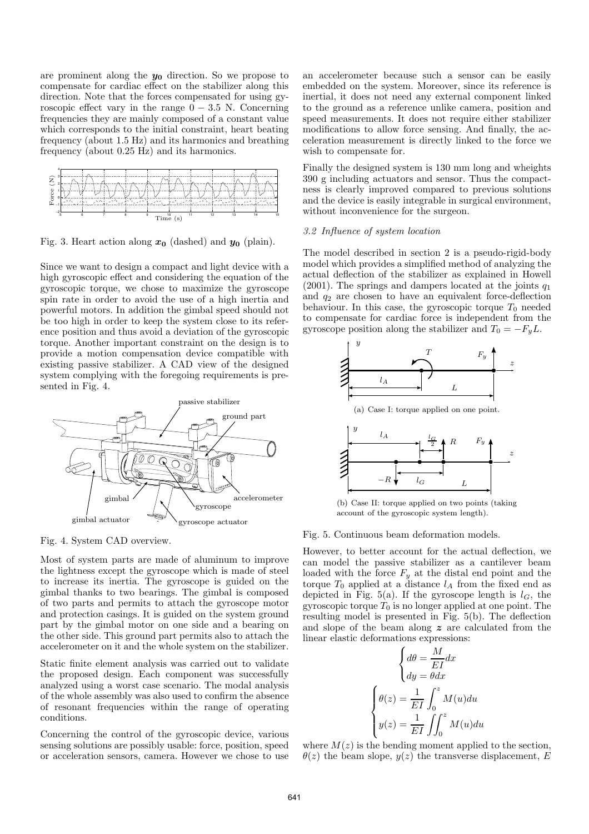are prominent along the  $y_0$  direction. So we propose to compensate for cardiac effect on the stabilizer along this direction. Note that the forces compensated for using gyroscopic effect vary in the range  $0 - 3.5$  N. Concerning frequencies they are mainly composed of a constant value which corresponds to the initial constraint, heart beating frequency (about 1.5 Hz) and its harmonics and breathing frequency (about 0.25 Hz) and its harmonics.



Fig. 3. Heart action along  $x_0$  (dashed) and  $y_0$  (plain).

Since we want to design a compact and light device with a high gyroscopic effect and considering the equation of the gyroscopic torque, we chose to maximize the gyroscope spin rate in order to avoid the use of a high inertia and powerful motors. In addition the gimbal speed should not be too high in order to keep the system close to its reference position and thus avoid a deviation of the gyroscopic torque. Another important constraint on the design is to provide a motion compensation device compatible with existing passive stabilizer. A CAD view of the designed system complying with the foregoing requirements is presented in Fig. 4.



Fig. 4. System CAD overview.

Most of system parts are made of aluminum to improve the lightness except the gyroscope which is made of steel to increase its inertia. The gyroscope is guided on the gimbal thanks to two bearings. The gimbal is composed of two parts and permits to attach the gyroscope motor and protection casings. It is guided on the system ground part by the gimbal motor on one side and a bearing on the other side. This ground part permits also to attach the accelerometer on it and the whole system on the stabilizer.

Static finite element analysis was carried out to validate the proposed design. Each component was successfully analyzed using a worst case scenario. The modal analysis of the whole assembly was also used to confirm the absence of resonant frequencies within the range of operating conditions.

Concerning the control of the gyroscopic device, various sensing solutions are possibly usable: force, position, speed or acceleration sensors, camera. However we chose to use

an accelerometer because such a sensor can be easily embedded on the system. Moreover, since its reference is inertial, it does not need any external component linked to the ground as a reference unlike camera, position and speed measurements. It does not require either stabilizer modifications to allow force sensing. And finally, the acceleration measurement is directly linked to the force we wish to compensate for.

Finally the designed system is 130 mm long and wheights 390 g including actuators and sensor. Thus the compactness is clearly improved compared to previous solutions and the device is easily integrable in surgical environment, without inconvenience for the surgeon.

#### *3.2 Influence of system location*

The model described in section 2 is a pseudo-rigid-body model which provides a simplified method of analyzing the actual deflection of the stabilizer as explained in Howell (2001). The springs and dampers located at the joints  $q_1$ and  $q_2$  are chosen to have an equivalent force-deflection behaviour. In this case, the gyroscopic torque  $T_0$  needed to compensate for cardiac force is independent from the gyroscope position along the stabilizer and  $T_0 = -F_yL$ .



(b) Case II: torque applied on two points (taking account of the gyroscopic system length).

#### Fig. 5. Continuous beam deformation models.

However, to better account for the actual deflection, we can model the passive stabilizer as a cantilever beam loaded with the force  $F_y$  at the distal end point and the torque  $T_0$  applied at a distance  $l_A$  from the fixed end as depicted in Fig. 5(a). If the gyroscope length is  $l_G$ , the gyroscopic torque  $T_0$  is no longer applied at one point. The resulting model is presented in Fig. 5(b). The deflection and slope of the beam along z are calculated from the linear elastic deformations expressions:

$$
\begin{cases}\nd\theta = \frac{M}{EI}dx \\
dy = \theta dx\n\end{cases}
$$
\n
$$
\begin{cases}\n\theta(z) = \frac{1}{EI} \int_0^z M(u)du \\
y(z) = \frac{1}{EI} \iint_0^z M(u)du\n\end{cases}
$$

where  $M(z)$  is the bending moment applied to the section,  $\theta(z)$  the beam slope,  $y(z)$  the transverse displacement, E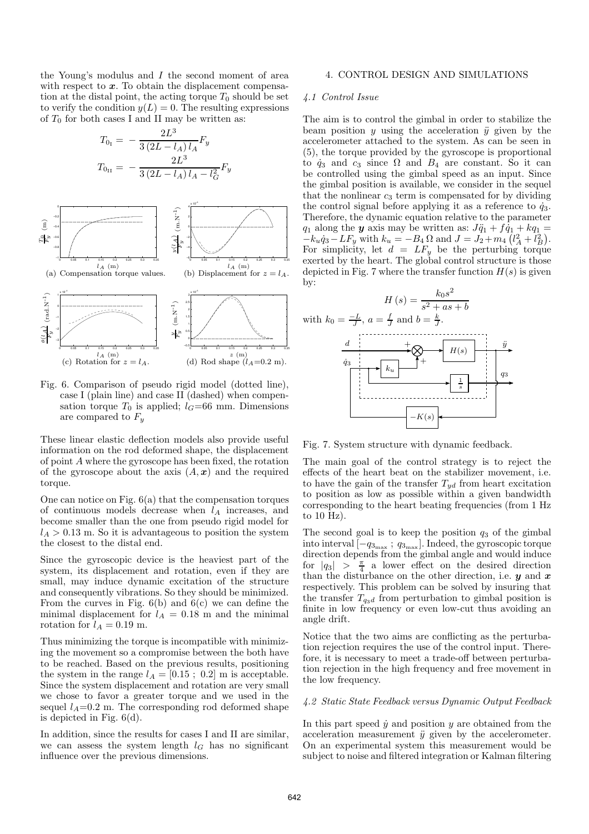the Young's modulus and I the second moment of area with respect to  $x$ . To obtain the displacement compensation at the distal point, the acting torque  $T_0$  should be set to verify the condition  $y(L) = 0$ . The resulting expressions of  $T_0$  for both cases I and II may be written as:

$$
T_{0I} = -\frac{2L^3}{3(2L - l_A)l_A}F_y
$$
  

$$
T_{0II} = -\frac{2L^3}{3(2L - l_A)l_A - l_G^2}F_y
$$



Fig. 6. Comparison of pseudo rigid model (dotted line), case I (plain line) and case II (dashed) when compensation torque  $T_0$  is applied;  $l_G=66$  mm. Dimensions are compared to  $F_u$ 

These linear elastic deflection models also provide useful information on the rod deformed shape, the displacement of point A where the gyroscope has been fixed, the rotation of the gyroscope about the axis  $(A, x)$  and the required torque.

One can notice on Fig. 6(a) that the compensation torques of continuous models decrease when  $l_A$  increases, and become smaller than the one from pseudo rigid model for  $l_A > 0.13$  m. So it is advantageous to position the system the closest to the distal end.

Since the gyroscopic device is the heaviest part of the system, its displacement and rotation, even if they are small, may induce dynamic excitation of the structure and consequently vibrations. So they should be minimized. From the curves in Fig.  $6(b)$  and  $6(c)$  we can define the minimal displacement for  $l_A = 0.18$  m and the minimal rotation for  $l_A = 0.19$  m.

Thus minimizing the torque is incompatible with minimizing the movement so a compromise between the both have to be reached. Based on the previous results, positioning the system in the range  $l_A = [0.15; 0.2]$  m is acceptable. Since the system displacement and rotation are very small we chose to favor a greater torque and we used in the sequel  $l_A=0.2$  m. The corresponding rod deformed shape is depicted in Fig. 6(d).

In addition, since the results for cases I and II are similar, we can assess the system length  $l_G$  has no significant influence over the previous dimensions.

### 4. CONTROL DESIGN AND SIMULATIONS

## *4.1 Control Issue*

The aim is to control the gimbal in order to stabilize the beam position  $y$  using the acceleration  $\ddot{y}$  given by the accelerometer attached to the system. As can be seen in (5), the torque provided by the gyroscope is proportional to  $\dot{q}_3$  and  $c_3$  since  $\Omega$  and  $B_4$  are constant. So it can be controlled using the gimbal speed as an input. Since the gimbal position is available, we consider in the sequel that the nonlinear  $c_3$  term is compensated for by dividing the control signal before applying it as a reference to  $\dot{q}_3$ . Therefore, the dynamic equation relative to the parameter  $q_1$  along the **y** axis may be written as:  $J\ddot{q}_1 + f\dot{q}_1 + kq_1 =$  $-k_u\dot{q}_3 - LF_y$  with  $k_u = -B_4 \Omega$  and  $J = J_2 + m_4 (l_A^2 + l_B^2)$ . For simplicity, let  $d = LF_y$  be the perturbing torque exerted by the heart. The global control structure is those depicted in Fig. 7 where the transfer function  $H(s)$  is given by:



Fig. 7. System structure with dynamic feedback.

The main goal of the control strategy is to reject the effects of the heart beat on the stabilizer movement, i.e. to have the gain of the transfer  $T_{yd}$  from heart excitation to position as low as possible within a given bandwidth corresponding to the heart beating frequencies (from 1 Hz to 10 Hz).

The second goal is to keep the position  $q_3$  of the gimbal into interval  $[-q_{3_{\text{max}}}$ ;  $q_{3_{\text{max}}}$ . Indeed, the gyroscopic torque direction depends from the gimbal angle and would induce for  $|q_3| > \frac{\pi}{4}$  a lower effect on the desired direction than the disturbance on the other direction, i.e.  $y$  and  $x$ respectively. This problem can be solved by insuring that the transfer  $T_{q3d}$  from perturbation to gimbal position is finite in low frequency or even low-cut thus avoiding an angle drift.

Notice that the two aims are conflicting as the perturbation rejection requires the use of the control input. Therefore, it is necessary to meet a trade-off between perturbation rejection in the high frequency and free movement in the low frequency.

#### *4.2 Static State Feedback versus Dynamic Output Feedback*

In this part speed  $\dot{y}$  and position  $y$  are obtained from the acceleration measurement  $\ddot{y}$  given by the accelerometer. On an experimental system this measurement would be subject to noise and filtered integration or Kalman filtering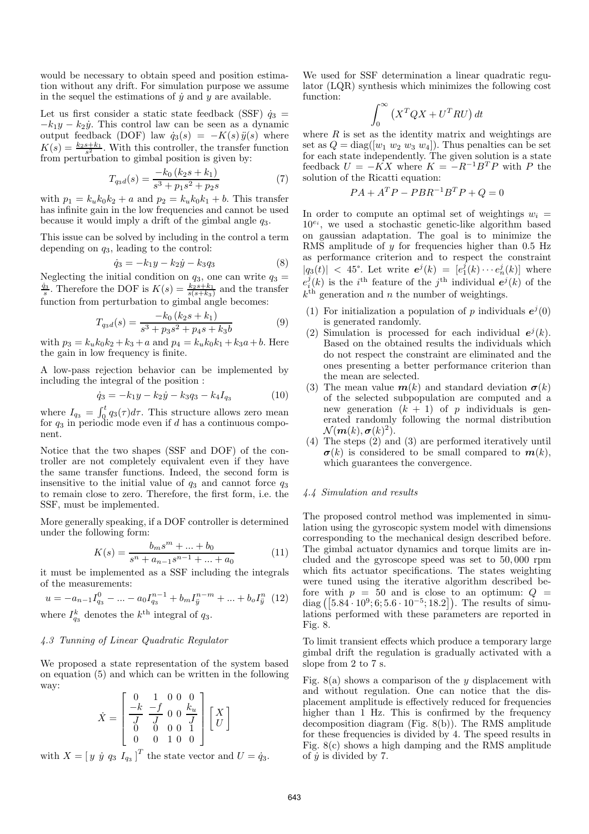would be necessary to obtain speed and position estimation without any drift. For simulation purpose we assume in the sequel the estimations of  $\dot{y}$  and  $y$  are available.

Let us first consider a static state feedback (SSF)  $\dot{q}_3$  =  $-k_1y - k_2y$ . This control law can be seen as a dynamic output feedback (DOF) law  $\dot{q}_3(s) = -K(s) \ddot{y}(s)$  where  $K(s) = \frac{k_2 s + k_1}{s^2}$ . With this controller, the transfer function from perturbation to gimbal position is given by:

$$
T_{q_3d}(s) = \frac{-k_0 (k_2 s + k_1)}{s^3 + p_1 s^2 + p_2 s} \tag{7}
$$

with  $p_1 = k_u k_0 k_2 + a$  and  $p_2 = k_u k_0 k_1 + b$ . This transfer has infinite gain in the low frequencies and cannot be used because it would imply a drift of the gimbal angle  $q_3$ .

This issue can be solved by including in the control a term depending on  $q_3$ , leading to the control:

$$
\dot{q}_3 = -k_1 y - k_2 \dot{y} - k_3 q_3 \tag{8}
$$

Neglecting the initial condition on  $q_3$ , one can write  $q_3 = \frac{\dot{q}_3}{s}$ . Therefore the DOF is  $K(s) = \frac{k_2 s + k_1}{s(s+k_3)}$  and the transfer function from perturbation to gimbal angle becomes:

$$
T_{q_3d}(s) = \frac{-k_0 (k_2s + k_1)}{s^3 + p_3s^2 + p_4s + k_3b}
$$
(9)

with  $p_3 = k_u k_0 k_2 + k_3 + a$  and  $p_4 = k_u k_0 k_1 + k_3 a + b$ . Here the gain in low frequency is finite.

A low-pass rejection behavior can be implemented by including the integral of the position :

$$
\dot{q}_3 = -k_1 y - k_2 \dot{y} - k_3 q_3 - k_4 I_{q_3} \tag{10}
$$

where  $I_{q_3} = \int_0^t q_3(\tau) d\tau$ . This structure allows zero mean for  $q_3$  in periodic mode even if d has a continuous component.

Notice that the two shapes (SSF and DOF) of the controller are not completely equivalent even if they have the same transfer functions. Indeed, the second form is insensitive to the initial value of  $q_3$  and cannot force  $q_3$ to remain close to zero. Therefore, the first form, i.e. the SSF, must be implemented.

More generally speaking, if a DOF controller is determined under the following form:

$$
K(s) = \frac{b_m s^m + \dots + b_0}{s^n + a_{n-1} s^{n-1} + \dots + a_0} \tag{11}
$$

it must be implemented as a SSF including the integrals of the measurements:

$$
u = -a_{n-1}I_{q_3}^0 - \dots - a_0I_{q_3}^{n-1} + b_mI_{ij}^{n-m} + \dots + b_oI_{ij}^n
$$
 (12)

where  $I_{q_3}^k$  denotes the  $k^{\text{th}}$  integral of  $q_3$ .

## *4.3 Tunning of Linear Quadratic Regulator*

We proposed a state representation of the system based on equation (5) and which can be written in the following way:

$$
\dot{X} = \begin{bmatrix} 0 & 1 & 0 & 0 & 0 \\ -k & -f & 0 & 0 & k_u \\ \overline{J} & \overline{J} & 0 & 0 & \overline{J} \\ 0 & 0 & 0 & 0 & 1 \\ 0 & 0 & 1 & 0 & 0 \end{bmatrix} \begin{bmatrix} X \\ U \end{bmatrix}
$$

with  $X = [y \dot{y} q_3 I_{q_3}]^T$  the state vector and  $U = \dot{q}_3$ .

We used for SSF determination a linear quadratic regulator (LQR) synthesis which minimizes the following cost function:

$$
\int_0^\infty \left( X^T Q X + U^T R U \right) dt
$$

where  $R$  is set as the identity matrix and weightings are set as  $Q = \text{diag}([w_1 \ w_2 \ w_3 \ w_4])$ . Thus penalties can be set for each state independently. The given solution is a state feedback  $U = -KX$  where  $K = -R^{-1}B^{T}P$  with P the solution of the Ricatti equation:

$$
PA + ATP - PBR-1BTP + Q = 0
$$

In order to compute an optimal set of weightings  $w_i =$  $10^{e_i}$ , we used a stochastic genetic-like algorithm based on gaussian adaptation. The goal is to minimize the RMS amplitude of  $y$  for frequencies higher than 0.5 Hz as performance criterion and to respect the constraint  $|q_3(t)|$  < 45°. Let write  $e^j(k) = [e_1^j(k) \cdots e_n^j(k)]$  where  $e_i^j(k)$  is the *i*<sup>th</sup> feature of the *j*<sup>th</sup> individual  $e^j(k)$  of the  $k<sup>th</sup>$  generation and n the number of weightings.

- (1) For initialization a population of p individuals  $e^{j}(0)$ is generated randomly.
- (2) Simulation is processed for each individual  $e^{j}(k)$ . Based on the obtained results the individuals which do not respect the constraint are eliminated and the ones presenting a better performance criterion than the mean are selected.
- (3) The mean value  $\boldsymbol{m}(k)$  and standard deviation  $\boldsymbol{\sigma}(k)$ of the selected subpopulation are computed and a new generation  $(k + 1)$  of p individuals is generated randomly following the normal distribution  $\mathcal{N}(\boldsymbol{m}(k),\boldsymbol{\sigma}(k)^2).$
- (4) The steps (2) and (3) are performed iteratively until  $\sigma(k)$  is considered to be small compared to  $m(k)$ , which guarantees the convergence.

## *4.4 Simulation and results*

The proposed control method was implemented in simulation using the gyroscopic system model with dimensions corresponding to the mechanical design described before. The gimbal actuator dynamics and torque limits are included and the gyroscope speed was set to 50, 000 rpm which fits actuator specifications. The states weighting were tuned using the iterative algorithm described before with  $p = 50$  and is close to an optimum:  $Q =$ diag  $([5.84 \cdot 10^9; 6; 5.6 \cdot 10^{-5}; 18.2])$ . The results of simulations performed with these parameters are reported in Fig. 8.

To limit transient effects which produce a temporary large gimbal drift the regulation is gradually activated with a slope from 2 to 7 s.

Fig.  $8(a)$  shows a comparison of the y displacement with and without regulation. One can notice that the displacement amplitude is effectively reduced for frequencies higher than 1 Hz. This is confirmed by the frequency decomposition diagram (Fig. 8(b)). The RMS amplitude for these frequencies is divided by 4. The speed results in Fig. 8(c) shows a high damping and the RMS amplitude of  $\dot{y}$  is divided by 7.